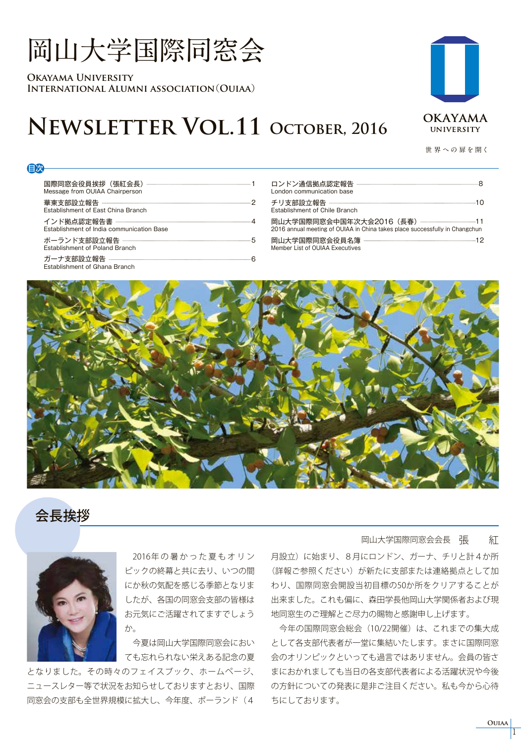# **岡山大学国際同窓会**

**Okayama University International Alumni association**(**Ouiaa**)

# **Newsletter Vol.11 October, 2016**

**世 界 への 扉を開く**

| Message from OUIAA Chairperson            |
|-------------------------------------------|
| Establishment of East China Branch        |
| Establishment of India communication Base |
| <b>Establishment of Poland Branch</b>     |
| Establishment of Ghana Branch             |

| London communication base                                                   |  |
|-----------------------------------------------------------------------------|--|
| Establishment of Chile Branch                                               |  |
| 2016 annual meeting of OUIAA in China takes place successfully in Changchun |  |
| Member List of OUIAA Executives                                             |  |



## 会長挨拶

目次



2016年の暑かった夏もオリン ピックの終幕と共に去り、いつの間 にか秋の気配を感じる季節となりま したが、各国の同窓会支部の皆様は お元気にご活躍されてますでしょう か。

 今夏は岡山大学国際同窓会におい ても忘れられない栄えある記念の夏

となりました。その時々のフェイスブック、ホームページ、 ニュースレター等で状況をお知らせしておりますとおり、国際 同窓会の支部も全世界規模に拡大し、今年度、ポーランド(4

#### 岡山大学国際同窓会会長 張 紅

月設立)に始まり、8月にロンドン、ガーナ、チリと計4か所 (詳報ご参照ください)が新たに支部または連絡拠点として加 わり、国際同窓会開設当初目標の50か所をクリアすることが 出来ました。これも偏に、森田学長他岡山大学関係者および現 地同窓生のご理解とご尽力の賜物と感謝申し上げます。

 今年の国際同窓会総会(10/22開催)は、これまでの集大成 として各支部代表者が一堂に集結いたします。まさに国際同窓 会のオリンピックといっても過言ではありません。会員の皆さ まにおかれましても当日の各支部代表者による活躍状況や今後 の方針についての発表に是非ご注目ください。私も今から心待 ちにしております。

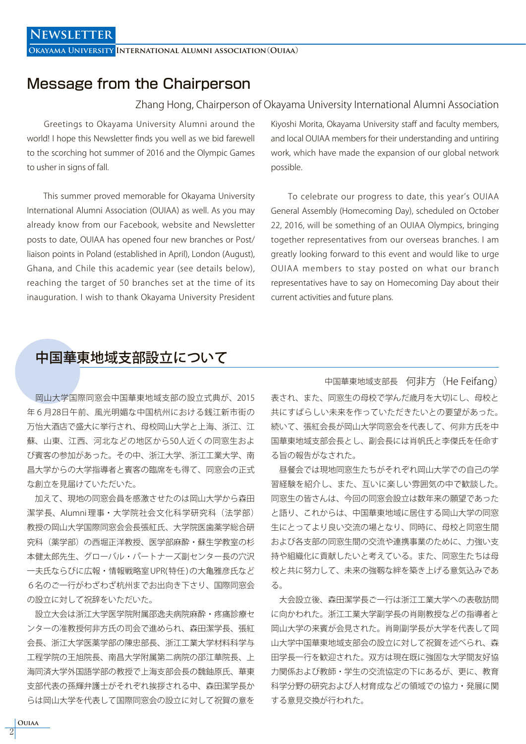**Okayama University International Alumni association**(**Ouiaa**)

## Message from the Chairperson

#### Zhang Hong, Chairperson of Okayama University International Alumni Association

 Greetings to Okayama University Alumni around the world! I hope this Newsletter finds you well as we bid farewell to the scorching hot summer of 2016 and the Olympic Games to usher in signs of fall.

 This summer proved memorable for Okayama University International Alumni Association (OUIAA) as well. As you may already know from our Facebook, website and Newsletter posts to date, OUIAA has opened four new branches or Post/ liaison points in Poland (established in April), London (August), Ghana, and Chile this academic year (see details below), reaching the target of 50 branches set at the time of its inauguration. I wish to thank Okayama University President

Kiyoshi Morita, Okayama University staff and faculty members, and local OUIAA members for their understanding and untiring work, which have made the expansion of our global network possible.

 To celebrate our progress to date, this year's OUIAA General Assembly (Homecoming Day), scheduled on October 22, 2016, will be something of an OUIAA Olympics, bringing together representatives from our overseas branches. I am greatly looking forward to this event and would like to urge OUIAA members to stay posted on what our branch representatives have to say on Homecoming Day about their current activities and future plans.

### 中国華東地域支部設立について

 岡山大学国際同窓会中国華東地域支部の設立式典が、2015 年6月28日午前、風光明媚な中国杭州における銭江新市街の 万怡大酒店で盛大に挙行され、母校岡山大学と上海、浙江、江 蘇、山東、江西、河北などの地区から50人近くの同窓生およ び賓客の参加があった。その中、浙江大学、浙江工業大学、南 昌大学からの大学指導者と賓客の臨席をも得て、同窓会の正式 な創立を見届けていただいた。

 加えて、現地の同窓会員を感激させたのは岡山大学から森田 潔学長、Alumni 理事・大学院社会文化科学研究科(法学部) 教授の岡山大学国際同窓会会長張紅氏、大学院医歯薬学総合研 究科(薬学部)の西堀正洋教授、医学部麻酔・蘇生学教室の杉 本健太郎先生、グローバル・パートナーズ副センター長の穴沢 一夫氏ならびに広報・情報戦略室 UPR( 特任 ) の大亀雅彦氏など 6名のご一行がわざわざ杭州までお出向き下さり、国際同窓会 の設立に対して祝辞をいただいた。

 設立大会は浙江大学医学院附属邵逸夫病院麻酔・疼痛診療セ ンターの准教授何非方氏の司会で進められ、森田潔学長、張紅 会長、浙江大学医薬学部の陳忠部長、浙江工業大学材料科学与 工程学院の王旭院長、南昌大学附属第二病院の邵江華院長、上 海同済大学外国語学部の教授で上海支部会長の魏鈾原氏、華東 支部代表の孫輝弁護士がそれぞれ挨拶される中、森田潔学長か らは岡山大学を代表して国際同窓会の設立に対して祝賀の意を

中国華東地域支部長 何非方(He Feifang) 表され、また、同窓生の母校で学んだ歳月を大切にし、母校と 共にすばらしい未来を作っていただきたいとの要望があった。 続いて、張紅会長が岡山大学同窓会を代表して、何非方氏を中 国華東地域支部会長とし、副会長には肖帆氏と李傑氏を任命す る旨の報告がなされた。

 昼餐会では現地同窓生たちがそれぞれ岡山大学での自己の学 習経験を紹介し、また、互いに楽しい雰囲気の中で歓談した。 同窓生の皆さんは、今回の同窓会設立は数年来の願望であった と語り、これからは、中国華東地域に居住する岡山大学の同窓 生にとってより良い交流の場となり、同時に、母校と同窓生間 および各支部の同窓生間の交流や連携事業のために、力強い支 持や組織化に貢献したいと考えている。また、同窓生たちは母 校と共に努力して、未来の強靱な絆を築き上げる意気込みであ る。

 大会設立後、森田潔学長ご一行は浙江工業大学への表敬訪問 に向かわれた。浙江工業大学副学長の肖剛教授などの指導者と 岡山大学の来賓が会見された。肖剛副学長が大学を代表して岡 山大学中国華東地域支部会の設立に対して祝賀を述べられ、森 田学長一行を歓迎された。双方は現在既に強固な大学間友好協 力関係および教師・学生の交流協定の下にあるが、更に、教育 科学分野の研究および人材育成などの領域での協力・発展に関 する意見交換が行われた。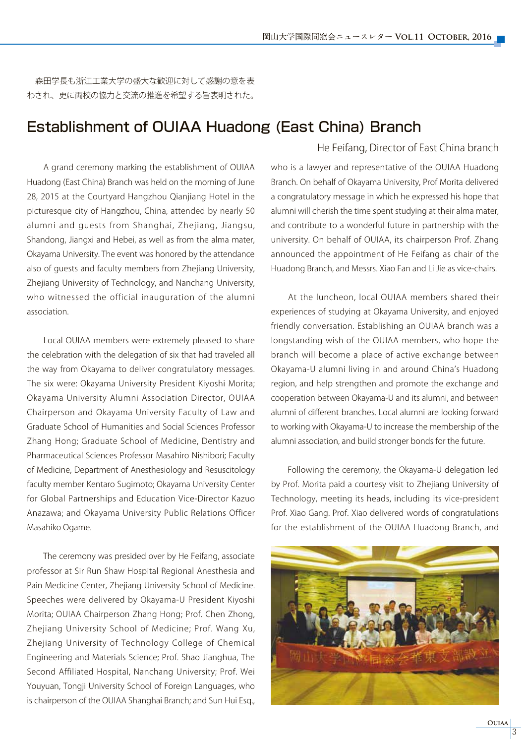森田学長も浙江工業大学の盛大な歓迎に対して感謝の意を表 わされ、更に両校の協力と交流の推進を希望する旨表明された。

## Establishment of OUIAA Huadong (East China) Branch

 A grand ceremony marking the establishment of OUIAA Huadong (East China) Branch was held on the morning of June 28, 2015 at the Courtyard Hangzhou Qianjiang Hotel in the picturesque city of Hangzhou, China, attended by nearly 50 alumni and guests from Shanghai, Zhejiang, Jiangsu, Shandong, Jiangxi and Hebei, as well as from the alma mater, Okayama University. The event was honored by the attendance also of guests and faculty members from Zhejiang University, Zhejiang University of Technology, and Nanchang University, who witnessed the official inauguration of the alumni association.

 Local OUIAA members were extremely pleased to share the celebration with the delegation of six that had traveled all the way from Okayama to deliver congratulatory messages. The six were: Okayama University President Kiyoshi Morita; Okayama University Alumni Association Director, OUIAA Chairperson and Okayama University Faculty of Law and Graduate School of Humanities and Social Sciences Professor Zhang Hong; Graduate School of Medicine, Dentistry and Pharmaceutical Sciences Professor Masahiro Nishibori; Faculty of Medicine, Department of Anesthesiology and Resuscitology faculty member Kentaro Sugimoto; Okayama University Center for Global Partnerships and Education Vice-Director Kazuo Anazawa; and Okayama University Public Relations Officer Masahiko Ogame.

 The ceremony was presided over by He Feifang, associate professor at Sir Run Shaw Hospital Regional Anesthesia and Pain Medicine Center, Zhejiang University School of Medicine. Speeches were delivered by Okayama-U President Kiyoshi Morita; OUIAA Chairperson Zhang Hong; Prof. Chen Zhong, Zhejiang University School of Medicine; Prof. Wang Xu, Zhejiang University of Technology College of Chemical Engineering and Materials Science; Prof. Shao Jianghua, The Second Affiliated Hospital, Nanchang University; Prof. Wei Youyuan, Tongji University School of Foreign Languages, who is chairperson of the OUIAA Shanghai Branch; and Sun Hui Esq.,

#### He Feifang, Director of East China branch

who is a lawyer and representative of the OUIAA Huadong Branch. On behalf of Okayama University, Prof Morita delivered a congratulatory message in which he expressed his hope that alumni will cherish the time spent studying at their alma mater, and contribute to a wonderful future in partnership with the university. On behalf of OUIAA, its chairperson Prof. Zhang announced the appointment of He Feifang as chair of the Huadong Branch, and Messrs. Xiao Fan and Li Jie as vice-chairs.

 At the luncheon, local OUIAA members shared their experiences of studying at Okayama University, and enjoyed friendly conversation. Establishing an OUIAA branch was a longstanding wish of the OUIAA members, who hope the branch will become a place of active exchange between Okayama-U alumni living in and around China's Huadong region, and help strengthen and promote the exchange and cooperation between Okayama-U and its alumni, and between alumni of different branches. Local alumni are looking forward to working with Okayama-U to increase the membership of the alumni association, and build stronger bonds for the future.

 Following the ceremony, the Okayama-U delegation led by Prof. Morita paid a courtesy visit to Zhejiang University of Technology, meeting its heads, including its vice-president Prof. Xiao Gang. Prof. Xiao delivered words of congratulations for the establishment of the OUIAA Huadong Branch, and

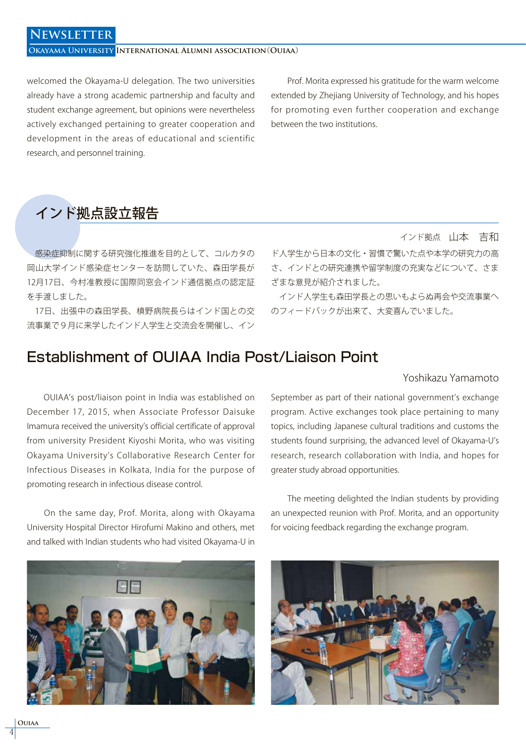### **Newsletter**

#### **Okayama University International Alumni association**(**Ouiaa**)

welcomed the Okayama-U delegation. The two universities already have a strong academic partnership and faculty and student exchange agreement, but opinions were nevertheless actively exchanged pertaining to greater cooperation and development in the areas of educational and scientific research, and personnel training.

 Prof. Morita expressed his gratitude for the warm welcome extended by Zhejiang University of Technology, and his hopes for promoting even further cooperation and exchange between the two institutions.

# インド拠点設立報告

 感染症抑制に関する研究強化推進を目的として、コルカタの 岡山大学インド感染症センターを訪問していた、森田学長が 12月17日、今村准教授に国際同窓会インド通信拠点の認定証 を手渡しました。

 17日、出張中の森田学長、槙野病院長らはインド国との交 流事業で9月に来学したインド人学生と交流会を開催し、イン

インド拠点 山本 吉和

ド人学生から日本の文化・習慣で驚いた点や本学の研究力の高 さ、インドとの研究連携や留学制度の充実などについて、さま ざまな意見が紹介されました。

 インド人学生も森田学長との思いもよらぬ再会や交流事業へ のフィードバックが出来て、大変喜んでいました。

## Establishment of OUIAA India Post/Liaison Point

Yoshikazu Yamamoto

 OUIAA's post/liaison point in India was established on December 17, 2015, when Associate Professor Daisuke Imamura received the university's official certificate of approval from university President Kiyoshi Morita, who was visiting Okayama University's Collaborative Research Center for Infectious Diseases in Kolkata, India for the purpose of promoting research in infectious disease control.

 On the same day, Prof. Morita, along with Okayama University Hospital Director Hirofumi Makino and others, met and talked with Indian students who had visited Okayama-U in

September as part of their national government's exchange program. Active exchanges took place pertaining to many topics, including Japanese cultural traditions and customs the students found surprising, the advanced level of Okayama-U's research, research collaboration with India, and hopes for greater study abroad opportunities.

 The meeting delighted the Indian students by providing an unexpected reunion with Prof. Morita, and an opportunity for voicing feedback regarding the exchange program.



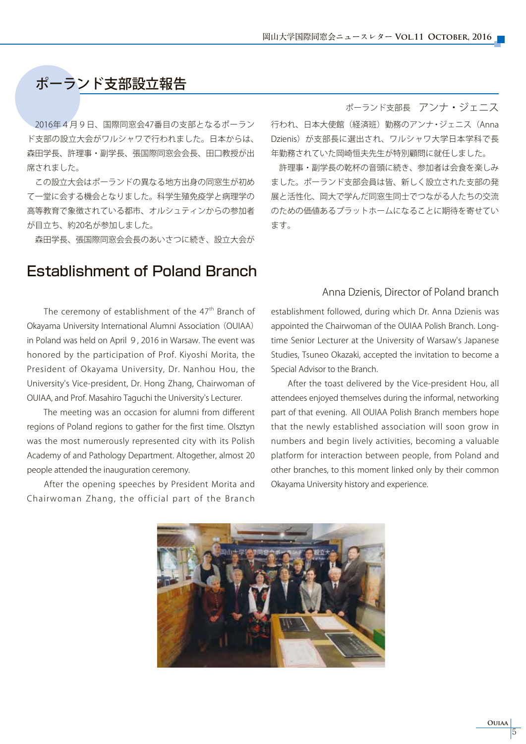# ポーランド支部設立報告

 2016年4月9日、国際同窓会47番目の支部となるポーラン ド支部の設立大会がワルシャワで行われました。日本からは、 森田学長、許理事・副学長、張国際同窓会会長、田口教授が出 席されました。

 この設立大会はポーランドの異なる地方出身の同窓生が初め て一堂に会する機会となりました。科学生殖免疫学と病理学の 高等教育で象徴されている都市、オルシュティンからの参加者 が目立ち、約20名が参加しました。

森田学長、張国際同窓会会長のあいさつに続き、設立大会が

## Establishment of Poland Branch

#### The ceremony of establishment of the  $47<sup>th</sup>$  Branch of Okayama University International Alumni Association(OUIAA) in Poland was held on April 9, 2016 in Warsaw. The event was honored by the participation of Prof. Kiyoshi Morita, the President of Okayama University, Dr. Nanhou Hou, the University's Vice-president, Dr. Hong Zhang, Chairwoman of OUIAA, and Prof. Masahiro Taguchi the University's Lecturer.

 The meeting was an occasion for alumni from different regions of Poland regions to gather for the first time. Olsztyn was the most numerously represented city with its Polish Academy of and Pathology Department. Altogether, almost 20 people attended the inauguration ceremony.

 After the opening speeches by President Morita and Chairwoman Zhang, the official part of the Branch

#### ポーランド支部長 アンナ・ジェニス

行われ、日本大使館(経済班)勤務のアンナ・ジェニス(Anna Dzienis)が支部長に選出され、ワルシャワ大学日本学科で長 年勤務されていた岡崎恒夫先生が特別顧問に就任しました。

 許理事・副学長の乾杯の音頭に続き、参加者は会食を楽しみ ました。ポーランド支部会員は皆、新しく設立された支部の発 展と活性化、岡大で学んだ同窓生同士でつながる人たちの交流 のための価値あるプラットホームになることに期待を寄せてい ます。

#### Anna Dzienis, Director of Poland branch

establishment followed, during which Dr. Anna Dzienis was appointed the Chairwoman of the OUIAA Polish Branch. Longtime Senior Lecturer at the University of Warsaw's Japanese Studies, Tsuneo Okazaki, accepted the invitation to become a Special Advisor to the Branch.

 After the toast delivered by the Vice-president Hou, all attendees enjoyed themselves during the informal, networking part of that evening. All OUIAA Polish Branch members hope that the newly established association will soon grow in numbers and begin lively activities, becoming a valuable platform for interaction between people, from Poland and other branches, to this moment linked only by their common Okayama University history and experience.

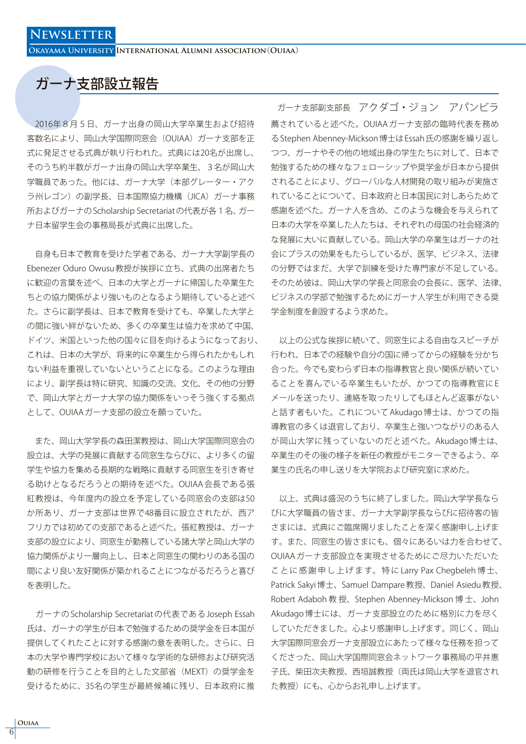**Okayama University International Alumni association**(**Ouiaa**)

## ガーナ支部設立報告

 2016年8月5日、ガーナ出身の岡山大学卒業生および招待 客数名により、岡山大学国際同窓会(OUIAA)ガーナ支部を正 式に発足させる式典が執り行われた。式典には20名が出席し、 そのうち約半数がガーナ出身の岡山大学卒業生、3名が岡山大 学職員であった。他には、ガーナ大学(本部グレーター・アク ラ州レゴン)の副学長、日本国際協力機構 (JICA) ガーナ事務 所およびガーナの Scholarship Secretariat の代表が各1名、ガー ナ日本留学生会の事務局長が式典に出席した。

 自身も日本で教育を受けた学者である、ガーナ大学副学長の Ebenezer Oduro Owusu 教授が挨拶に立ち、式典の出席者たち に歓迎の言葉を述べ、日本の大学とガーナに帰国した卒業生た ちとの協力関係がより強いものとなるよう期待していると述べ た。さらに副学長は、日本で教育を受けても、卒業した大学と の間に強い絆がないため、多くの卒業生は協力を求めて中国、 ドイツ、米国といった他の国々に目を向けるようになっており、 これは、日本の大学が、将来的に卒業生から得られたかもしれ ない利益を重視していないということになる。このような理由 により、副学長は特に研究、知識の交流、文化、その他の分野 で、岡山大学とガーナ大学の協力関係をいっそう強くする拠点 として、OUIAA ガーナ支部の設立を願っていた。

 また、岡山大学学長の森田潔教授は、岡山大学国際同窓会の 設立は、大学の発展に貢献する同窓生ならびに、より多くの留 学生や協力を集める長期的な戦略に貢献する同窓生を引き寄せ る助けとなるだろうとの期待を述べた。OUIAA 会長である張 紅教授は、今年度内の設立を予定している同窓会の支部は50 か所あり、ガーナ支部は世界で48番目に設立されたが、西ア フリカでは初めての支部であると述べた。張紅教授は、ガーナ 支部の設立により、同窓生が勤務している諸大学と岡山大学の 協力関係がより一層向上し、日本と同窓生の関わりのある国の 間により良い友好関係が築かれることにつながるだろうと喜び を表明した。

 ガーナの Scholarship Secretariat の代表である Joseph Essah 氏は、ガーナの学生が日本で勉強するための奨学金を日本国が 提供してくれたことに対する感謝の意を表明した。さらに、日 本の大学や専門学校において様々な学術的な研修および研究活 動の研修を行うことを目的とした文部省(MEXT)の奨学金を 受けるために、35名の学生が最終候補に残り、日本政府に推

ガーナ支部副支部長 アクダゴ・ジョン アパンビラ 薦されていると述べた。OUIAA ガーナ支部の臨時代表を務め る Stephen Abenney-Mickson 博士は Essah 氏の感謝を繰り返し つつ、ガーナやその他の地域出身の学生たちに対して、日本で 勉強するための様々なフェローシップや奨学金が日本から提供 されることにより、グローバルな人材開発の取り組みが実施さ れていることについて、日本政府と日本国民に対しあらためて 感謝を述べた。ガーナ人を含め、このような機会を与えられて 日本の大学を卒業した人たちは、それぞれの母国の社会経済的 な発展に大いに貢献している。岡山大学の卒業生はガーナの社 会にプラスの効果をもたらしているが、医学、ビジネス、法律 の分野ではまだ、大学で訓練を受けた専門家が不足している。 そのため彼は、岡山大学の学長と同窓会の会長に、医学、法律、 ビジネスの学部で勉強するためにガーナ人学生が利用できる奨 学金制度を創設するよう求めた。

 以上の公式な挨拶に続いて、同窓生による自由なスピーチが 行われ、日本での経験や自分の国に帰ってからの経験を分かち 合った。今でも変わらず日本の指導教官と良い関係が続いてい ることを喜んでいる卒業生もいたが、かつての指導教官に E メールを送ったり、連絡を取ったりしてもほとんど返事がない と話す者もいた。これについて Akudago 博士は、かつての指 導教官の多くは退官しており、卒業生と強いつながりのある人 が岡山大学に残っていないのだと述べた。Akudago 博士は、 卒業生のその後の様子を新任の教授がモニターできるよう、卒 業生の氏名の申し送りを大学院および研究室に求めた。

 以上、式典は盛況のうちに終了しました。岡山大学学長なら びに大学職員の皆さま、ガーナ大学副学長ならびに招待客の皆 さまには、式典にご臨席賜りましたことを深く感謝申し上げま す。また、同窓生の皆さまにも、個々にあるいは力を合わせて、 OUIAA ガーナ支部設立を実現させるためにご尽力いただいた こ と に 感 謝 申 し 上 げ ま す。 特 に Larry Pax Chegbeleh 博 士、 Patrick Sakyi 博士、Samuel Dampare 教授、Daniel Asiedu 教授、 Robert Adaboh 教 授、Stephen Abenney-Mickson 博 士、John Akudago 博士には、ガーナ支部設立のために格別に力を尽く していただきました。心より感謝申し上げます。同じく、岡山 大学国際同窓会ガーナ支部設立にあたって様々な任務を担って くださった、岡山大学国際同窓会ネットワーク事務局の平井惠 子氏、柴田次夫教授、西垣誠教授(両氏は岡山大学を退官され た教授)にも、心からお礼申し上げます。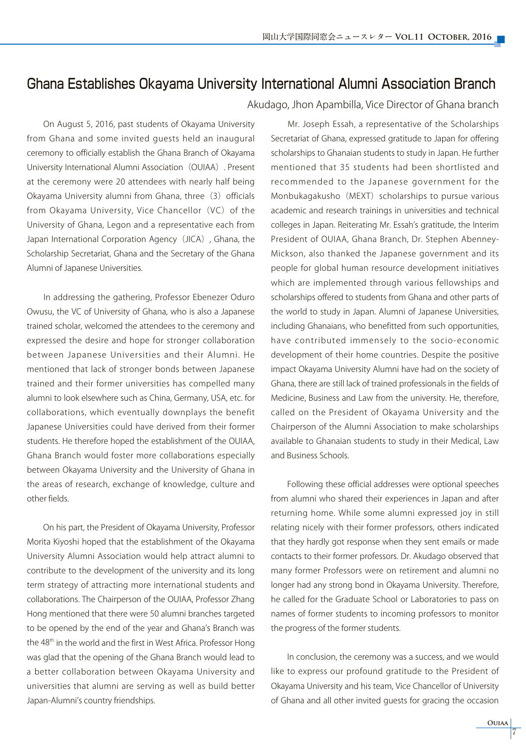## Ghana Establishes Okayama University International Alumni Association Branch

 On August 5, 2016, past students of Okayama University from Ghana and some invited guests held an inaugural ceremony to officially establish the Ghana Branch of Okayama University International Alumni Association(OUIAA). Present at the ceremony were 20 attendees with nearly half being Okayama University alumni from Ghana, three (3) officials from Okayama University, Vice Chancellor (VC) of the University of Ghana, Legon and a representative each from Japan International Corporation Agency (JICA), Ghana, the Scholarship Secretariat, Ghana and the Secretary of the Ghana Alumni of Japanese Universities.

 In addressing the gathering, Professor Ebenezer Oduro Owusu, the VC of University of Ghana, who is also a Japanese trained scholar, welcomed the attendees to the ceremony and expressed the desire and hope for stronger collaboration between Japanese Universities and their Alumni. He mentioned that lack of stronger bonds between Japanese trained and their former universities has compelled many alumni to look elsewhere such as China, Germany, USA, etc. for collaborations, which eventually downplays the benefit Japanese Universities could have derived from their former students. He therefore hoped the establishment of the OUIAA, Ghana Branch would foster more collaborations especially between Okayama University and the University of Ghana in the areas of research, exchange of knowledge, culture and other fields.

 On his part, the President of Okayama University, Professor Morita Kiyoshi hoped that the establishment of the Okayama University Alumni Association would help attract alumni to contribute to the development of the university and its long term strategy of attracting more international students and collaborations. The Chairperson of the OUIAA, Professor Zhang Hong mentioned that there were 50 alumni branches targeted to be opened by the end of the year and Ghana's Branch was the 48<sup>th</sup> in the world and the first in West Africa. Professor Hong was glad that the opening of the Ghana Branch would lead to a better collaboration between Okayama University and universities that alumni are serving as well as build better Japan-Alumni's country friendships.

Akudago, Jhon Apambilla, Vice Director of Ghana branch

 Mr. Joseph Essah, a representative of the Scholarships Secretariat of Ghana, expressed gratitude to Japan for offering scholarships to Ghanaian students to study in Japan. He further mentioned that 35 students had been shortlisted and recommended to the Japanese government for the Monbukagakusho (MEXT) scholarships to pursue various academic and research trainings in universities and technical colleges in Japan. Reiterating Mr. Essah's gratitude, the Interim President of OUIAA, Ghana Branch, Dr. Stephen Abenney-Mickson, also thanked the Japanese government and its people for global human resource development initiatives which are implemented through various fellowships and scholarships offered to students from Ghana and other parts of the world to study in Japan. Alumni of Japanese Universities, including Ghanaians, who benefitted from such opportunities, have contributed immensely to the socio-economic development of their home countries. Despite the positive impact Okayama University Alumni have had on the society of Ghana, there are still lack of trained professionals in the fields of Medicine, Business and Law from the university. He, therefore, called on the President of Okayama University and the Chairperson of the Alumni Association to make scholarships available to Ghanaian students to study in their Medical, Law and Business Schools.

 Following these official addresses were optional speeches from alumni who shared their experiences in Japan and after returning home. While some alumni expressed joy in still relating nicely with their former professors, others indicated that they hardly got response when they sent emails or made contacts to their former professors. Dr. Akudago observed that many former Professors were on retirement and alumni no longer had any strong bond in Okayama University. Therefore, he called for the Graduate School or Laboratories to pass on names of former students to incoming professors to monitor the progress of the former students.

 In conclusion, the ceremony was a success, and we would like to express our profound gratitude to the President of Okayama University and his team, Vice Chancellor of University of Ghana and all other invited guests for gracing the occasion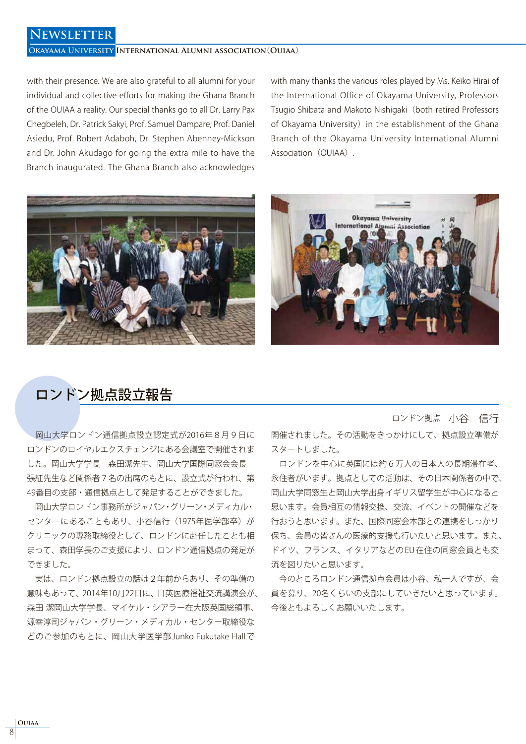### **Newsletter**

#### **Okayama University International Alumni association**(**Ouiaa**)

with their presence. We are also grateful to all alumni for your individual and collective efforts for making the Ghana Branch of the OUIAA a reality. Our special thanks go to all Dr. Larry Pax Chegbeleh, Dr. Patrick Sakyi, Prof. Samuel Dampare, Prof. Daniel Asiedu, Prof. Robert Adaboh, Dr. Stephen Abenney-Mickson and Dr. John Akudago for going the extra mile to have the Branch inaugurated. The Ghana Branch also acknowledges with many thanks the various roles played by Ms. Keiko Hirai of the International Office of Okayama University, Professors Tsugio Shibata and Makoto Nishigaki (both retired Professors of Okayama University) in the establishment of the Ghana Branch of the Okayama University International Alumni Association (OUIAA).





## ロンドン拠点設立報告

 岡山大学ロンドン通信拠点設立認定式が2016年8月9日に ロンドンのロイヤルエクスチェンジにある会議室で開催されま した。岡山大学学長 森田潔先生、岡山大学国際同窓会会長 張紅先生など関係者7名の出席のもとに、設立式が行われ、第 49番目の支部・通信拠点として発足することができました。

 岡山大学ロンドン事務所がジャパン・グリーン・メディカル・ センターにあることもあり、小谷信行(1975年医学部卒)が クリニックの専務取締役として、ロンドンに赴任したことも相 まって、森田学長のご支援により、ロンドン通信拠点の発足が できました。

 実は、ロンドン拠点設立の話は2年前からあり、その準備の 意味もあって、2014年10月22日に、日英医療福祉交流講演会が、 森田 潔岡山大学学長、マイケル・シアラー在大阪英国総領事、 源幸淳司ジャパン・グリーン・メディカル・センター取締役な どのご参加のもとに、岡山大学医学部 Junko Fukutake Hall で

ロンドン拠点 小谷 信行

開催されました。その活動をきっかけにして、拠点設立準備が スタートしました。

 ロンドンを中心に英国には約6万人の日本人の長期滞在者、 永住者がいます。拠点としての活動は、その日本関係者の中で、 岡山大学同窓生と岡山大学出身イギリス留学生が中心になると 思います。会員相互の情報交換、交流、イベントの開催などを 行おうと思います。また、国際同窓会本部との連携をしっかり 保ち、会員の皆さんの医療的支援も行いたいと思います。また、 ドイツ、フランス、イタリアなどの EU 在住の同窓会員とも交 流を図りたいと思います。

 今のところロンドン通信拠点会員は小谷、私一人ですが、会 員を募り、20名くらいの支部にしていきたいと思っています。 今後ともよろしくお願いいたします。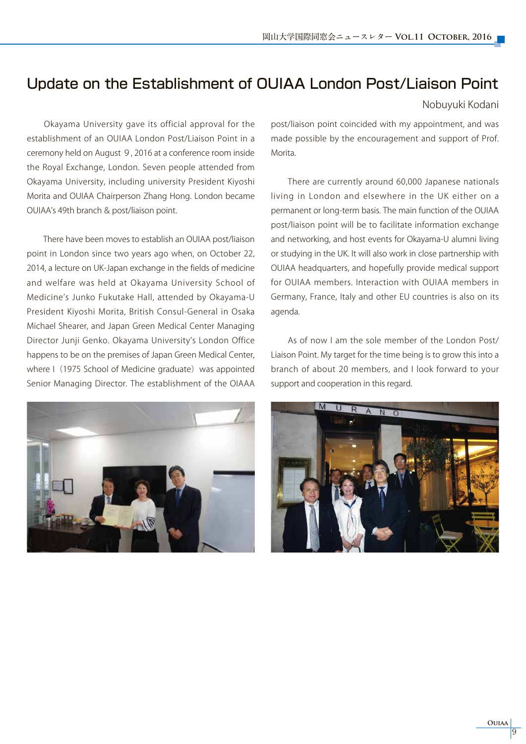# Update on the Establishment of OUIAA London Post/Liaison Point

#### Nobuyuki Kodani

 Okayama University gave its official approval for the establishment of an OUIAA London Post/Liaison Point in a ceremony held on August 9, 2016 at a conference room inside the Royal Exchange, London. Seven people attended from Okayama University, including university President Kiyoshi Morita and OUIAA Chairperson Zhang Hong. London became OUIAA's 49th branch & post/liaison point.

 There have been moves to establish an OUIAA post/liaison point in London since two years ago when, on October 22, 2014, a lecture on UK-Japan exchange in the fields of medicine and welfare was held at Okayama University School of Medicine's Junko Fukutake Hall, attended by Okayama-U President Kiyoshi Morita, British Consul-General in Osaka Michael Shearer, and Japan Green Medical Center Managing Director Junji Genko. Okayama University's London Office happens to be on the premises of Japan Green Medical Center, where I (1975 School of Medicine graduate) was appointed Senior Managing Director. The establishment of the OIAAA



post/liaison point coincided with my appointment, and was made possible by the encouragement and support of Prof. Morita.

 There are currently around 60,000 Japanese nationals living in London and elsewhere in the UK either on a permanent or long-term basis. The main function of the OUIAA post/liaison point will be to facilitate information exchange and networking, and host events for Okayama-U alumni living or studying in the UK. It will also work in close partnership with OUIAA headquarters, and hopefully provide medical support for OUIAA members. Interaction with OUIAA members in Germany, France, Italy and other EU countries is also on its agenda.

 As of now I am the sole member of the London Post/ Liaison Point. My target for the time being is to grow this into a branch of about 20 members, and I look forward to your support and cooperation in this regard.

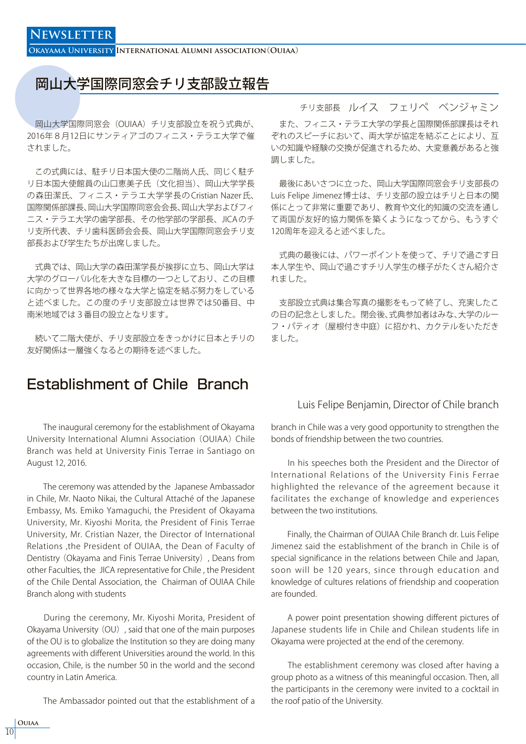**Okayama University International Alumni association**(**Ouiaa**)

## 岡山大学国際同窓会チリ支部設立報告

 岡山大学国際同窓会(OUIAA)チリ支部設立を祝う式典が、 2016年8月12日にサンティアゴのフィニス・テラエ大学で催 されました。

 この式典には、駐チリ日本国大使の二階尚人氏、同じく駐チ リ日本国大使館員の山口恵美子氏(文化担当)、岡山大学学長 の森田潔氏、フィニス・テラエ大学学長の Cristian Nazer 氏、 国際関係部課長、岡山大学国際同窓会会長、岡山大学およびフィ ニス・テラエ大学の歯学部長、その他学部の学部長、JICA のチ リ支所代表、チリ歯科医師会会長、岡山大学国際同窓会チリ支 部長および学生たちが出席しました。

 式典では、岡山大学の森田潔学長が挨拶に立ち、岡山大学は 大学のグローバル化を大きな目標の一つとしており、この目標 に向かって世界各地の様々な大学と協定を結ぶ努力をしている と述べました。この度のチリ支部設立は世界では50番目、中 南米地域では3番目の設立となります。

 続いて二階大使が、チリ支部設立をきっかけに日本とチリの 友好関係は一層強くなるとの期待を述べました。

# Establishment of Chile Branch

 The inaugural ceremony for the establishment of Okayama University International Alumni Association (OUIAA) Chile Branch was held at University Finis Terrae in Santiago on August 12, 2016.

 The ceremony was attended by the Japanese Ambassador in Chile, Mr. Naoto Nikai, the Cultural Attaché of the Japanese Embassy, Ms. Emiko Yamaguchi, the President of Okayama University, Mr. Kiyoshi Morita, the President of Finis Terrae University, Mr. Cristian Nazer, the Director of International Relations ,the President of OUIAA, the Dean of Faculty of Dentistry (Okayama and Finis Terrae University), Deans from other Faculties, the JICA representative for Chile , the President of the Chile Dental Association, the Chairman of OUIAA Chile Branch along with students

 During the ceremony, Mr. Kiyoshi Morita, President of Okayama University (OU), said that one of the main purposes of the OU is to globalize the Institution so they are doing many agreements with different Universities around the world. In this occasion, Chile, is the number 50 in the world and the second country in Latin America.

The Ambassador pointed out that the establishment of a

## チリ支部長 ルイス フェリペ ベンジャミン

 また、フィニス・テラエ大学の学長と国際関係部課長はそれ ぞれのスピーチにおいて、両大学が協定を結ぶことにより、互 いの知識や経験の交換が促進されるため、大変意義があると強 調しました。

 最後にあいさつに立った、岡山大学国際同窓会チリ支部長の Luis Felipe Jimenez 博士は、チリ支部の設立はチリと日本の関 係にとって非常に重要であり、教育や文化的知識の交流を通し て両国が友好的協力関係を築くようになってから、もうすぐ 120周年を迎えると述べました。

 式典の最後には、パワーポイントを使って、チリで過ごす日 本人学生や、岡山で過ごすチリ人学生の様子がたくさん紹介さ れました。

 支部設立式典は集合写真の撮影をもって終了し、充実したこ の日の記念としました。閉会後、式典参加者はみな、大学のルー フ・パティオ(屋根付き中庭)に招かれ、カクテルをいただき ました。

#### Luis Felipe Benjamin, Director of Chile branch

branch in Chile was a very good opportunity to strengthen the bonds of friendship between the two countries.

 In his speeches both the President and the Director of International Relations of the University Finis Ferrae highlighted the relevance of the agreement because it facilitates the exchange of knowledge and experiences between the two institutions.

 Finally, the Chairman of OUIAA Chile Branch dr. Luis Felipe Jimenez said the establishment of the branch in Chile is of special significance in the relations between Chile and Japan, soon will be 120 years, since through education and knowledge of cultures relations of friendship and cooperation are founded.

 A power point presentation showing different pictures of Japanese students life in Chile and Chilean students life in Okayama were projected at the end of the ceremony.

 The establishment ceremony was closed after having a group photo as a witness of this meaningful occasion. Then, all the participants in the ceremony were invited to a cocktail in the roof patio of the University.

**Ouiaa** 10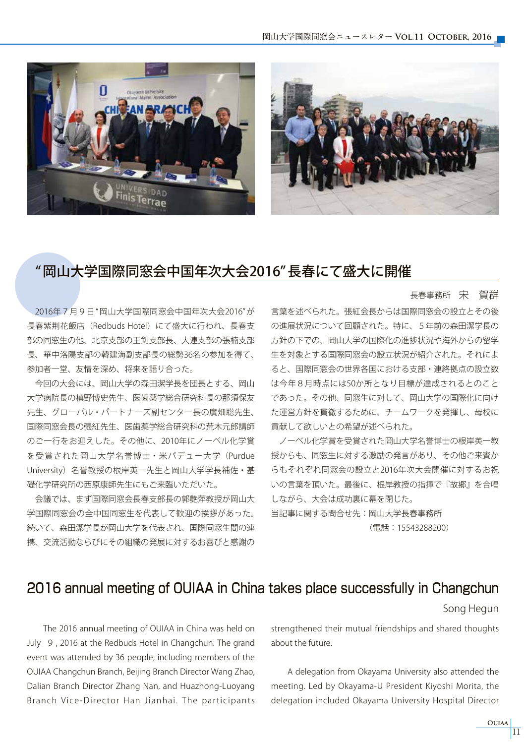

## " 岡山大学国際同窓会中国年次大会2016" 長春にて盛大に開催

#### 長春事務所 宋 賀群

 2016年7月9日 " 岡山大学国際同窓会中国年次大会2016" が 長春紫荆花飯店(Redbuds Hotel)にて盛大に行われ、長春支 部の同窓生の他、北京支部の王釗支部長、大連支部の張楠支部 長、華中洛陽支部の韓建海副支部長の総勢36名の参加を得て、 参加者一堂、友情を深め、将来を語り合った。

 今回の大会には、岡山大学の森田潔学長を団長とする、岡山 大学病院長の槙野博史先生、医歯薬学総合研究科長の那須保友 先生、グローバル・パートナーズ副センター長の廣畑聡先生、 国際同窓会長の張紅先生、医歯薬学総合研究科の荒木元郎講師 のご一行をお迎えした。その他に、2010年にノーベル化学賞 を受賞された岡山大学名誉博士・米パデュー大学(Purdue University)名誉教授の根岸英一先生と岡山大学学長補佐・基 礎化学研究所の西原康師先生にもご来臨いただいた。

 会議では、まず国際同窓会長春支部長の郭艶萍教授が岡山大 学国際同窓会の全中国同窓生を代表して歓迎の挨拶があった。 続いて、森田潔学長が岡山大学を代表され、国際同窓生間の連 携、交流活動ならびにその組織の発展に対するお喜びと感謝の

言葉を述べられた。張紅会長からは国際同窓会の設立とその後 の進展状況について回顧された。特に、5年前の森田潔学長の 方針の下での、岡山大学の国際化の進捗状況や海外からの留学 生を対象とする国際同窓会の設立状況が紹介された。それによ ると、国際同窓会の世界各国における支部・連絡拠点の設立数 は今年8月時点には50か所となり目標が達成されるとのこと であった。その他、同窓生に対して、岡山大学の国際化に向け た運営方針を貫徹するために、チームワークを発揮し、母校に 貢献して欲しいとの希望が述べられた。

 ノーベル化学賞を受賞された岡山大学名誉博士の根岸英一教 授からも、同窓生に対する激励の発言があり、その他ご来賓か らもそれぞれ同窓会の設立と2016年次大会開催に対するお祝 いの言葉を頂いた。最後に、根岸教授の指揮で『故郷』を合唱 しながら、大会は成功裏に幕を閉じた。

当記事に関する問合せ先:岡山大学長春事務所 (電話:15543288200)

## 2016 annual meeting of OUIAA in China takes place successfully in Changchun

#### Song Hegun

 The 2016 annual meeting of OUIAA in China was held on July 9 , 2016 at the Redbuds Hotel in Changchun. The grand event was attended by 36 people, including members of the OUIAA Changchun Branch, Beijing Branch Director Wang Zhao, Dalian Branch Director Zhang Nan, and Huazhong-Luoyang Branch Vice-Director Han Jianhai. The participants strengthened their mutual friendships and shared thoughts about the future.

 A delegation from Okayama University also attended the meeting. Led by Okayama-U President Kiyoshi Morita, the delegation included Okayama University Hospital Director